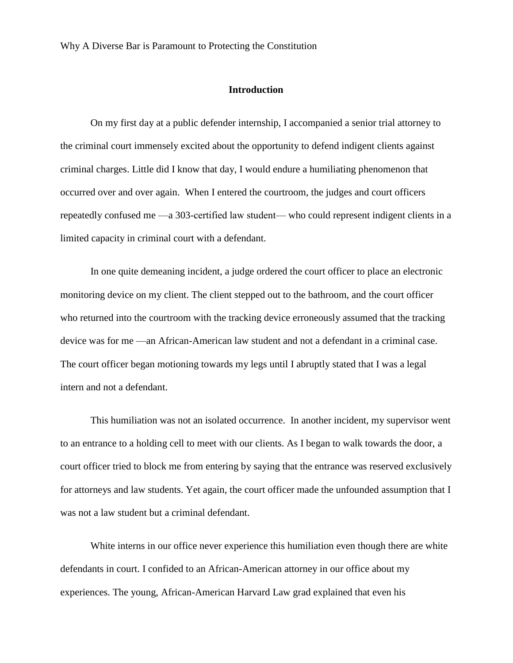### **Introduction**

On my first day at a public defender internship, I accompanied a senior trial attorney to the criminal court immensely excited about the opportunity to defend indigent clients against criminal charges. Little did I know that day, I would endure a humiliating phenomenon that occurred over and over again. When I entered the courtroom, the judges and court officers repeatedly confused me —a 303-certified law student— who could represent indigent clients in a limited capacity in criminal court with a defendant.

In one quite demeaning incident, a judge ordered the court officer to place an electronic monitoring device on my client. The client stepped out to the bathroom, and the court officer who returned into the courtroom with the tracking device erroneously assumed that the tracking device was for me —an African-American law student and not a defendant in a criminal case. The court officer began motioning towards my legs until I abruptly stated that I was a legal intern and not a defendant.

This humiliation was not an isolated occurrence. In another incident, my supervisor went to an entrance to a holding cell to meet with our clients. As I began to walk towards the door, a court officer tried to block me from entering by saying that the entrance was reserved exclusively for attorneys and law students. Yet again, the court officer made the unfounded assumption that I was not a law student but a criminal defendant.

White interns in our office never experience this humiliation even though there are white defendants in court. I confided to an African-American attorney in our office about my experiences. The young, African-American Harvard Law grad explained that even his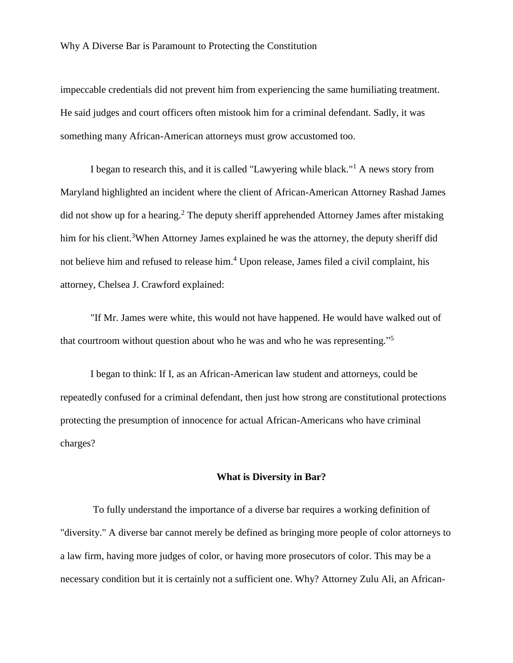impeccable credentials did not prevent him from experiencing the same humiliating treatment. He said judges and court officers often mistook him for a criminal defendant. Sadly, it was something many African-American attorneys must grow accustomed too.

I began to research this, and it is called "Lawyering while black."<sup>1</sup> A news story from Maryland highlighted an incident where the client of African-American Attorney Rashad James did not show up for a hearing.<sup>2</sup> The deputy sheriff apprehended Attorney James after mistaking him for his client.<sup>3</sup>When Attorney James explained he was the attorney, the deputy sheriff did not believe him and refused to release him.<sup>4</sup> Upon release, James filed a civil complaint, his attorney, Chelsea J. Crawford explained:

"If Mr. James were white, this would not have happened. He would have walked out of that courtroom without question about who he was and who he was representing."<sup>5</sup>

I began to think: If I, as an African-American law student and attorneys, could be repeatedly confused for a criminal defendant, then just how strong are constitutional protections protecting the presumption of innocence for actual African-Americans who have criminal charges?

#### **What is Diversity in Bar?**

To fully understand the importance of a diverse bar requires a working definition of "diversity." A diverse bar cannot merely be defined as bringing more people of color attorneys to a law firm, having more judges of color, or having more prosecutors of color. This may be a necessary condition but it is certainly not a sufficient one. Why? Attorney Zulu Ali, an African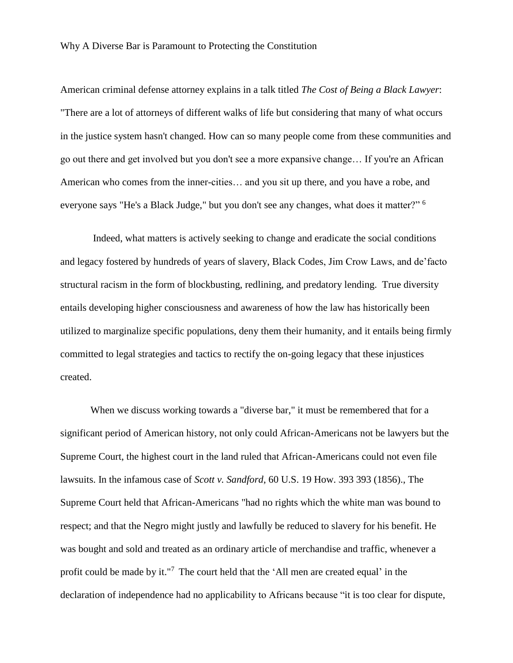American criminal defense attorney explains in a talk titled *The Cost of Being a Black Lawyer*: "There are a lot of attorneys of different walks of life but considering that many of what occurs in the justice system hasn't changed. How can so many people come from these communities and go out there and get involved but you don't see a more expansive change… If you're an African American who comes from the inner-cities… and you sit up there, and you have a robe, and everyone says "He's a Black Judge," but you don't see any changes, what does it matter?" <sup>6</sup>

Indeed, what matters is actively seeking to change and eradicate the social conditions and legacy fostered by hundreds of years of slavery, Black Codes, Jim Crow Laws, and de'facto structural racism in the form of blockbusting, redlining, and predatory lending. True diversity entails developing higher consciousness and awareness of how the law has historically been utilized to marginalize specific populations, deny them their humanity, and it entails being firmly committed to legal strategies and tactics to rectify the on-going legacy that these injustices created.

When we discuss working towards a "diverse bar," it must be remembered that for a significant period of American history, not only could African-Americans not be lawyers but the Supreme Court, the highest court in the land ruled that African-Americans could not even file lawsuits. In the infamous case of *Scott v. Sandford*, 60 U.S. 19 How. 393 393 (1856)., The Supreme Court held that African-Americans "had no rights which the white man was bound to respect; and that the Negro might justly and lawfully be reduced to slavery for his benefit. He was bought and sold and treated as an ordinary article of merchandise and traffic, whenever a profit could be made by it."<sup>7</sup> The court held that the 'All men are created equal' in the declaration of independence had no applicability to Africans because "it is too clear for dispute,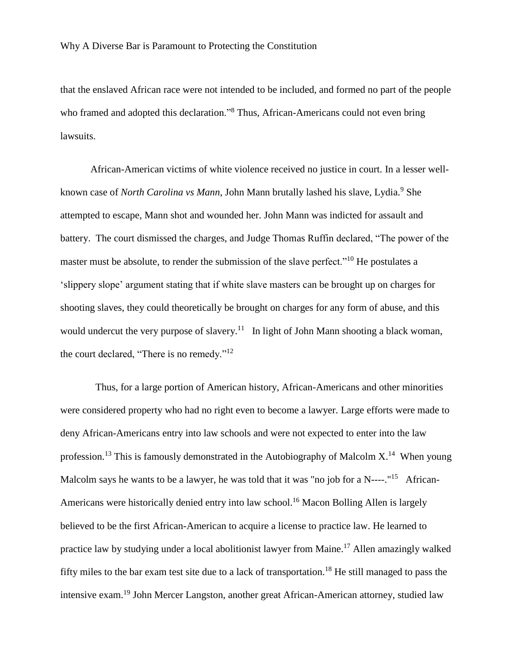that the enslaved African race were not intended to be included, and formed no part of the people who framed and adopted this declaration."<sup>8</sup> Thus, African-Americans could not even bring lawsuits.

African-American victims of white violence received no justice in court. In a lesser wellknown case of *North Carolina vs Mann*, John Mann brutally lashed his slave, Lydia.<sup>9</sup> She attempted to escape, Mann shot and wounded her. John Mann was indicted for assault and battery. The court dismissed the charges, and Judge Thomas Ruffin declared, "The power of the master must be absolute, to render the submission of the slave perfect."<sup>10</sup> He postulates a 'slippery slope' argument stating that if white slave masters can be brought up on charges for shooting slaves, they could theoretically be brought on charges for any form of abuse, and this would undercut the very purpose of slavery.<sup>11</sup> In light of John Mann shooting a black woman, the court declared, "There is no remedy."<sup>12</sup>

 Thus, for a large portion of American history, African-Americans and other minorities were considered property who had no right even to become a lawyer. Large efforts were made to deny African-Americans entry into law schools and were not expected to enter into the law profession.<sup>13</sup> This is famously demonstrated in the Autobiography of Malcolm  $X$ <sup>14</sup>. When young Malcolm says he wants to be a lawyer, he was told that it was "no job for a N----."<sup>15</sup> African-Americans were historically denied entry into law school.<sup>16</sup> Macon Bolling Allen is largely believed to be the first African-American to acquire a license to practice law. He learned to practice law by studying under a local abolitionist lawyer from Maine.<sup>17</sup> Allen amazingly walked fifty miles to the bar exam test site due to a lack of transportation.<sup>18</sup> He still managed to pass the intensive exam.<sup>19</sup> John Mercer Langston, another great African-American attorney, studied law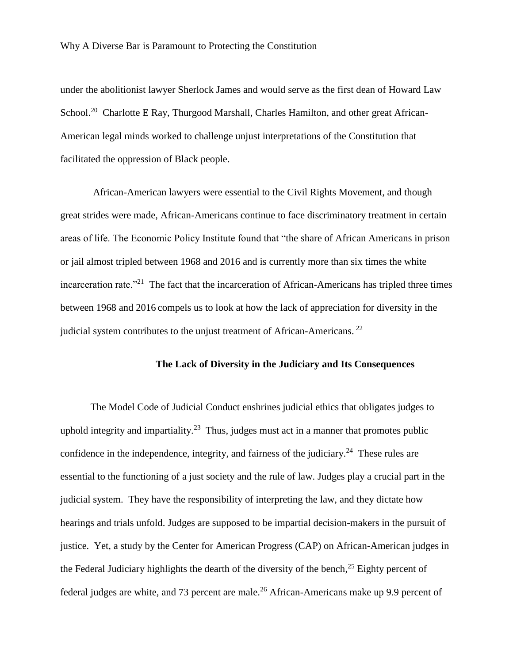under the abolitionist lawyer Sherlock James and would serve as the first dean of Howard Law School.<sup>20</sup> Charlotte E Ray, Thurgood Marshall, Charles Hamilton, and other great African-American legal minds worked to challenge unjust interpretations of the Constitution that facilitated the oppression of Black people.

African-American lawyers were essential to the Civil Rights Movement, and though great strides were made, African-Americans continue to face discriminatory treatment in certain areas of life. The Economic Policy Institute found that "the share of African Americans in prison or jail almost tripled between 1968 and 2016 and is currently more than six times the white incarceration rate. $121$  The fact that the incarceration of African-Americans has tripled three times between 1968 and 2016 compels us to look at how the lack of appreciation for diversity in the judicial system contributes to the unjust treatment of African-Americans.<sup>22</sup>

# **The Lack of Diversity in the Judiciary and Its Consequences**

The Model Code of Judicial Conduct enshrines judicial ethics that obligates judges to uphold integrity and impartiality.<sup>23</sup> Thus, judges must act in a manner that promotes public confidence in the independence, integrity, and fairness of the judiciary.<sup>24</sup> These rules are essential to the functioning of a just society and the rule of law. Judges play a crucial part in the judicial system. They have the responsibility of interpreting the law, and they dictate how hearings and trials unfold. Judges are supposed to be impartial decision-makers in the pursuit of justice. Yet, a study by the Center for American Progress (CAP) on African-American judges in the Federal Judiciary highlights the dearth of the diversity of the bench,<sup>25</sup> Eighty percent of federal judges are white, and 73 percent are male.<sup>26</sup> African-Americans make up 9.9 percent of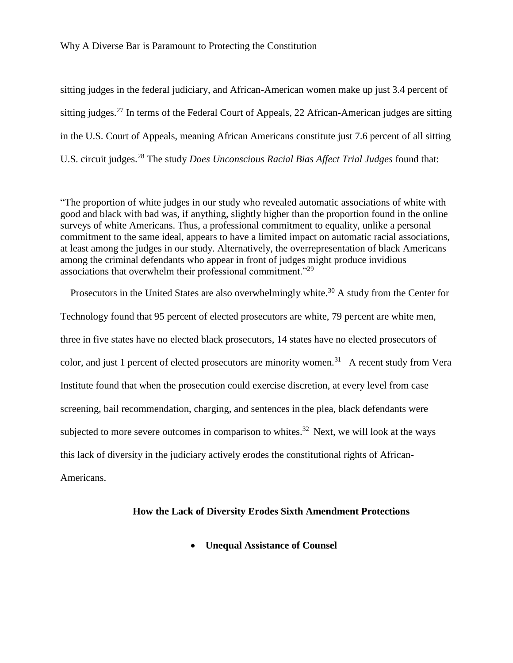sitting judges in the federal judiciary, and African-American women make up just 3.4 percent of sitting judges.<sup>27</sup> In terms of the Federal Court of Appeals, 22 African-American judges are sitting in the U.S. Court of Appeals, meaning African Americans constitute just 7.6 percent of all sitting U.S. circuit judges.<sup>28</sup> The study *Does Unconscious Racial Bias Affect Trial Judges* found that:

"The proportion of white judges in our study who revealed automatic associations of white with good and black with bad was, if anything, slightly higher than the proportion found in the online surveys of white Americans. Thus, a professional commitment to equality, unlike a personal commitment to the same ideal, appears to have a limited impact on automatic racial associations, at least among the judges in our study. Alternatively, the overrepresentation of black Americans among the criminal defendants who appear in front of judges might produce invidious associations that overwhelm their professional commitment."<sup>29</sup>

Prosecutors in the United States are also overwhelmingly white.<sup>30</sup> A study from the Center for Technology found that 95 percent of elected prosecutors are white, 79 percent are white men, three in five states have no elected black prosecutors, 14 states have no elected prosecutors of color, and just 1 percent of elected prosecutors are minority women.<sup>31</sup> A recent study from Vera Institute found that when the prosecution could exercise discretion, at every level from case screening, bail recommendation, charging, and sentences in the plea, black defendants were subjected to more severe outcomes in comparison to whites.<sup>32</sup> Next, we will look at the ways this lack of diversity in the judiciary actively erodes the constitutional rights of African-Americans.

## **How the Lack of Diversity Erodes Sixth Amendment Protections**

**Unequal Assistance of Counsel**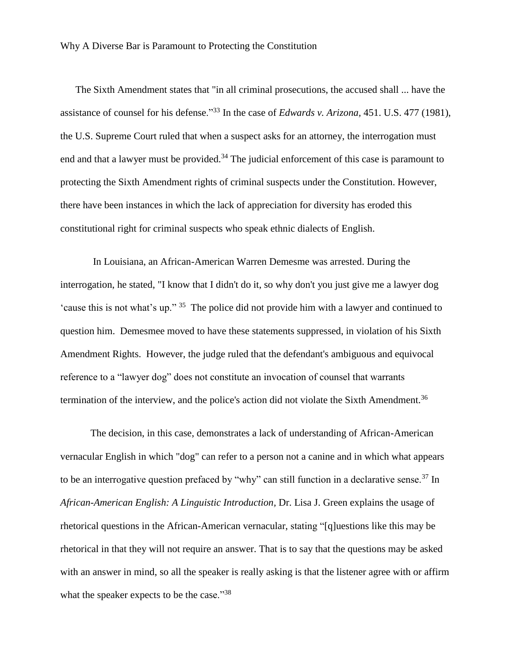The Sixth Amendment states that "in all criminal prosecutions, the accused shall ... have the assistance of counsel for his defense."<sup>33</sup> In the case of *Edwards v. Arizona,* 451. U.S. 477 (1981), the U.S. Supreme Court ruled that when a suspect asks for an attorney, the interrogation must end and that a lawyer must be provided.<sup>34</sup> The judicial enforcement of this case is paramount to protecting the Sixth Amendment rights of criminal suspects under the Constitution. However, there have been instances in which the lack of appreciation for diversity has eroded this constitutional right for criminal suspects who speak ethnic dialects of English.

In Louisiana, an African-American Warren Demesme was arrested. During the interrogation, he stated, "I know that I didn't do it, so why don't you just give me a lawyer dog 'cause this is not what's up." <sup>35</sup> The police did not provide him with a lawyer and continued to question him. Demesmee moved to have these statements suppressed, in violation of his Sixth Amendment Rights. However, the judge ruled that the defendant's ambiguous and equivocal reference to a "lawyer dog" does not constitute an invocation of counsel that warrants termination of the interview, and the police's action did not violate the Sixth Amendment.<sup>36</sup>

The decision, in this case, demonstrates a lack of understanding of African-American vernacular English in which "dog" can refer to a person not a canine and in which what appears to be an interrogative question prefaced by "why" can still function in a declarative sense.<sup>37</sup> In *African-American English: A Linguistic Introduction,* Dr. Lisa J. Green explains the usage of rhetorical questions in the African-American vernacular, stating "[q]uestions like this may be rhetorical in that they will not require an answer. That is to say that the questions may be asked with an answer in mind, so all the speaker is really asking is that the listener agree with or affirm what the speaker expects to be the case."<sup>38</sup>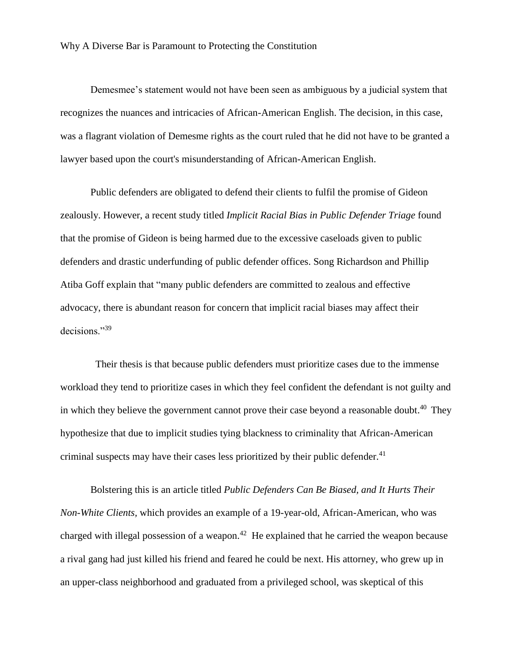Demesmee's statement would not have been seen as ambiguous by a judicial system that recognizes the nuances and intricacies of African-American English. The decision, in this case, was a flagrant violation of Demesme rights as the court ruled that he did not have to be granted a lawyer based upon the court's misunderstanding of African-American English.

Public defenders are obligated to defend their clients to fulfil the promise of Gideon zealously. However, a recent study titled *Implicit Racial Bias in Public Defender Triage* found that the promise of Gideon is being harmed due to the excessive caseloads given to public defenders and drastic underfunding of public defender offices. Song Richardson and Phillip Atiba Goff explain that "many public defenders are committed to zealous and effective advocacy, there is abundant reason for concern that implicit racial biases may affect their decisions."<sup>39</sup>

 Their thesis is that because public defenders must prioritize cases due to the immense workload they tend to prioritize cases in which they feel confident the defendant is not guilty and in which they believe the government cannot prove their case beyond a reasonable doubt.<sup>40</sup> They hypothesize that due to implicit studies tying blackness to criminality that African-American criminal suspects may have their cases less prioritized by their public defender.<sup>41</sup>

Bolstering this is an article titled *Public Defenders Can Be Biased, and It Hurts Their Non-White Clients,* which provides an example of a 19-year-old, African-American, who was charged with illegal possession of a weapon.<sup>42</sup> He explained that he carried the weapon because a rival gang had just killed his friend and feared he could be next. His attorney, who grew up in an upper-class neighborhood and graduated from a privileged school, was skeptical of this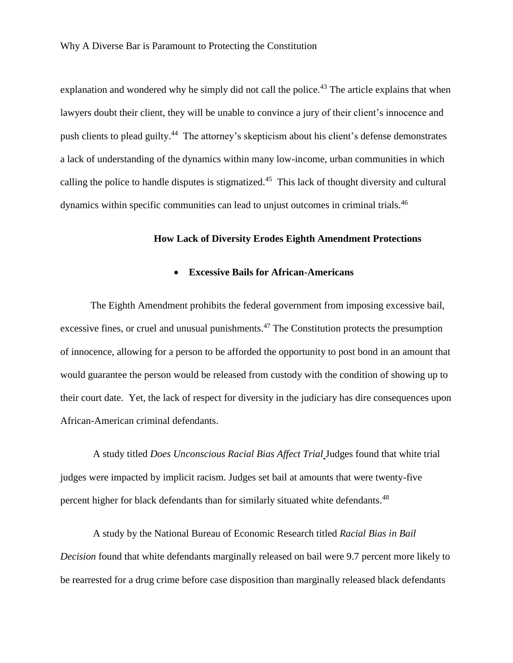explanation and wondered why he simply did not call the police.<sup>43</sup> The article explains that when lawyers doubt their client, they will be unable to convince a jury of their client's innocence and push clients to plead guilty.<sup>44</sup> The attorney's skepticism about his client's defense demonstrates a lack of understanding of the dynamics within many low-income, urban communities in which calling the police to handle disputes is stigmatized. $45$  This lack of thought diversity and cultural dynamics within specific communities can lead to unjust outcomes in criminal trials.<sup>46</sup>

#### **How Lack of Diversity Erodes Eighth Amendment Protections**

## **Excessive Bails for African-Americans**

The Eighth Amendment prohibits the federal government from imposing excessive bail, excessive fines, or cruel and unusual punishments.<sup>47</sup> The Constitution protects the presumption of innocence, allowing for a person to be afforded the opportunity to post bond in an amount that would guarantee the person would be released from custody with the condition of showing up to their court date. Yet, the lack of respect for diversity in the judiciary has dire consequences upon African-American criminal defendants.

A study titled *Does Unconscious Racial Bias Affect Trial* Judges found that white trial judges were impacted by implicit racism. Judges set bail at amounts that were twenty-five percent higher for black defendants than for similarly situated white defendants.<sup>48</sup>

A study by the National Bureau of Economic Research titled *Racial Bias in Bail Decision* found that white defendants marginally released on bail were 9.7 percent more likely to be rearrested for a drug crime before case disposition than marginally released black defendants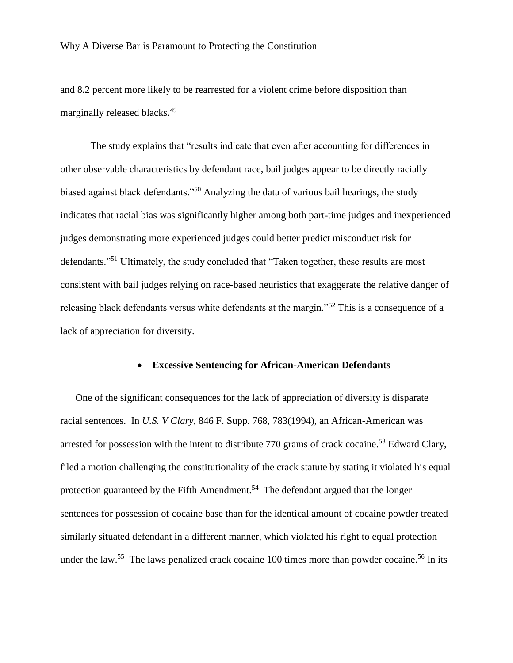and 8.2 percent more likely to be rearrested for a violent crime before disposition than marginally released blacks.<sup>49</sup>

The study explains that "results indicate that even after accounting for differences in other observable characteristics by defendant race, bail judges appear to be directly racially biased against black defendants."<sup>50</sup> Analyzing the data of various bail hearings, the study indicates that racial bias was significantly higher among both part-time judges and inexperienced judges demonstrating more experienced judges could better predict misconduct risk for defendants."<sup>51</sup> Ultimately, the study concluded that "Taken together, these results are most consistent with bail judges relying on race-based heuristics that exaggerate the relative danger of releasing black defendants versus white defendants at the margin."<sup>52</sup> This is a consequence of a lack of appreciation for diversity.

### **Excessive Sentencing for African-American Defendants**

One of the significant consequences for the lack of appreciation of diversity is disparate racial sentences. In *U.S. V Clary,* 846 F. Supp. 768, 783(1994), an African-American was arrested for possession with the intent to distribute 770 grams of crack cocaine.<sup>53</sup> Edward Clary, filed a motion challenging the constitutionality of the crack statute by stating it violated his equal protection guaranteed by the Fifth Amendment.<sup>54</sup> The defendant argued that the longer sentences for possession of cocaine base than for the identical amount of cocaine powder treated similarly situated defendant in a different manner, which violated his right to equal protection under the law.<sup>55</sup> The laws penalized crack cocaine 100 times more than powder cocaine.<sup>56</sup> In its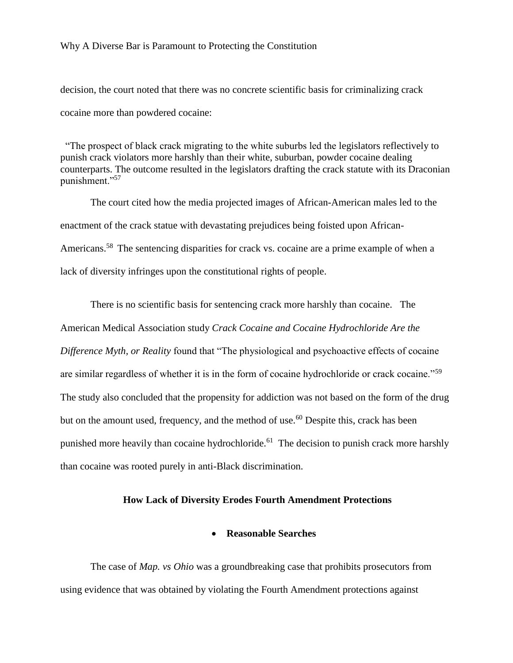## Why A Diverse Bar is Paramount to Protecting the Constitution

decision, the court noted that there was no concrete scientific basis for criminalizing crack cocaine more than powdered cocaine:

 "The prospect of black crack migrating to the white suburbs led the legislators reflectively to punish crack violators more harshly than their white, suburban, powder cocaine dealing counterparts. The outcome resulted in the legislators drafting the crack statute with its Draconian punishment."<sup>57</sup>

The court cited how the media projected images of African-American males led to the enactment of the crack statue with devastating prejudices being foisted upon African-Americans.<sup>58</sup> The sentencing disparities for crack vs. cocaine are a prime example of when a lack of diversity infringes upon the constitutional rights of people.

There is no scientific basis for sentencing crack more harshly than cocaine. The American Medical Association study *Crack Cocaine and Cocaine Hydrochloride Are the Difference Myth, or Reality* found that "The physiological and psychoactive effects of cocaine are similar regardless of whether it is in the form of cocaine hydrochloride or crack cocaine."<sup>59</sup> The study also concluded that the propensity for addiction was not based on the form of the drug but on the amount used, frequency, and the method of use.<sup>60</sup> Despite this, crack has been punished more heavily than cocaine hydrochloride.<sup>61</sup> The decision to punish crack more harshly than cocaine was rooted purely in anti-Black discrimination.

#### **How Lack of Diversity Erodes Fourth Amendment Protections**

#### **Reasonable Searches**

The case of *Map. vs Ohio* was a groundbreaking case that prohibits prosecutors from using evidence that was obtained by violating the Fourth Amendment protections against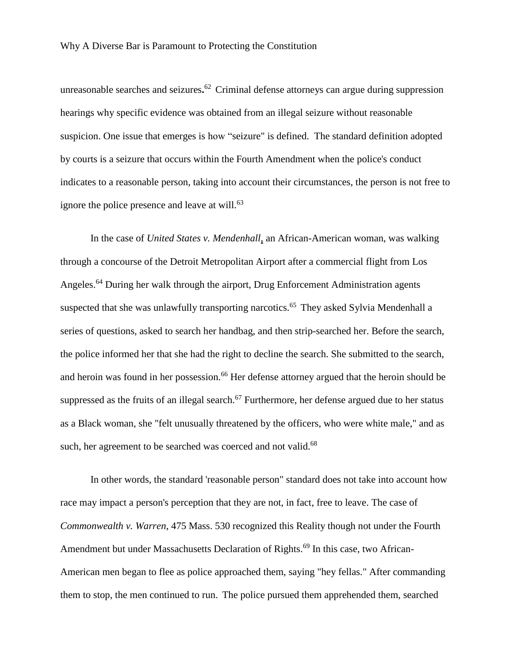unreasonable searches and seizures**.** <sup>62</sup> Criminal defense attorneys can argue during suppression hearings why specific evidence was obtained from an illegal seizure without reasonable suspicion. One issue that emerges is how "seizure" is defined. The standard definition adopted by courts is a seizure that occurs within the Fourth Amendment when the police's conduct indicates to a reasonable person, taking into account their circumstances, the person is not free to ignore the police presence and leave at will.<sup>63</sup>

In the case of *United States v. Mendenhall,* an African-American woman, was walking through a concourse of the Detroit Metropolitan Airport after a commercial flight from Los Angeles.<sup>64</sup> During her walk through the airport, Drug Enforcement Administration agents suspected that she was unlawfully transporting narcotics.<sup>65</sup> They asked Sylvia Mendenhall a series of questions, asked to search her handbag, and then strip-searched her. Before the search, the police informed her that she had the right to decline the search. She submitted to the search, and heroin was found in her possession.<sup>66</sup> Her defense attorney argued that the heroin should be suppressed as the fruits of an illegal search.<sup>67</sup> Furthermore, her defense argued due to her status as a Black woman, she "felt unusually threatened by the officers, who were white male," and as such, her agreement to be searched was coerced and not valid.<sup>68</sup>

In other words, the standard 'reasonable person" standard does not take into account how race may impact a person's perception that they are not, in fact, free to leave. The case of *Commonwealth v. Warren*, 475 Mass. 530 recognized this Reality though not under the Fourth Amendment but under Massachusetts Declaration of Rights.<sup>69</sup> In this case, two African-American men began to flee as police approached them, saying "hey fellas." After commanding them to stop, the men continued to run. The police pursued them apprehended them, searched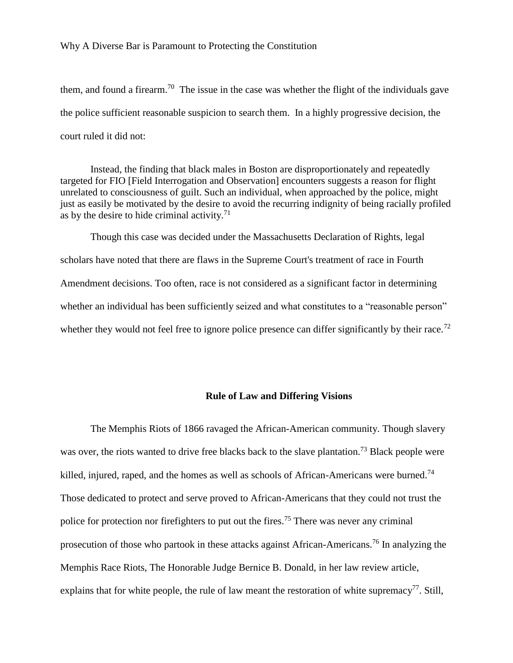## Why A Diverse Bar is Paramount to Protecting the Constitution

them, and found a firearm.<sup>70</sup> The issue in the case was whether the flight of the individuals gave the police sufficient reasonable suspicion to search them. In a highly progressive decision, the court ruled it did not:

Instead, the finding that black males in Boston are disproportionately and repeatedly targeted for FIO [Field Interrogation and Observation] encounters suggests a reason for flight unrelated to consciousness of guilt. Such an individual, when approached by the police, might just as easily be motivated by the desire to avoid the recurring indignity of being racially profiled as by the desire to hide criminal activity.<sup>71</sup>

Though this case was decided under the Massachusetts Declaration of Rights, legal scholars have noted that there are flaws in the Supreme Court's treatment of race in Fourth Amendment decisions. Too often, race is not considered as a significant factor in determining whether an individual has been sufficiently seized and what constitutes to a "reasonable person" whether they would not feel free to ignore police presence can differ significantly by their race.<sup>72</sup>

### **Rule of Law and Differing Visions**

The Memphis Riots of 1866 ravaged the African-American community. Though slavery was over, the riots wanted to drive free blacks back to the slave plantation.<sup>73</sup> Black people were killed, injured, raped, and the homes as well as schools of African-Americans were burned.<sup>74</sup> Those dedicated to protect and serve proved to African-Americans that they could not trust the police for protection nor firefighters to put out the fires.<sup>75</sup> There was never any criminal prosecution of those who partook in these attacks against African-Americans.<sup>76</sup> In analyzing the Memphis Race Riots, The Honorable Judge Bernice B. Donald, in her law review article, explains that for white people, the rule of law meant the restoration of white supremacy<sup>77</sup>. Still,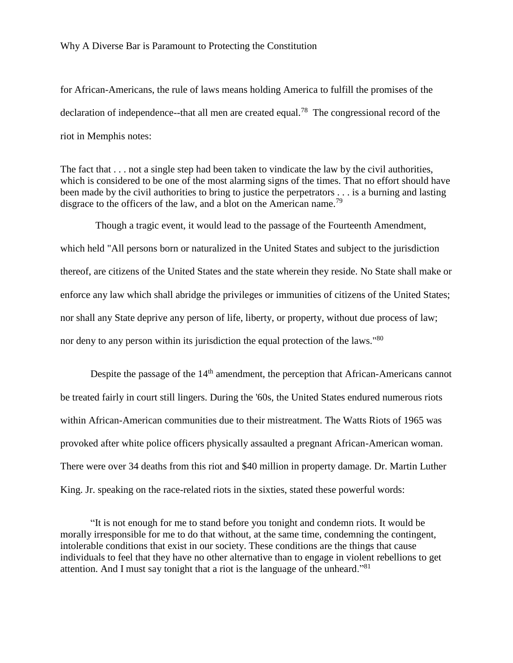## Why A Diverse Bar is Paramount to Protecting the Constitution

for African-Americans, the rule of laws means holding America to fulfill the promises of the declaration of independence--that all men are created equal.<sup>78</sup> The congressional record of the riot in Memphis notes:

The fact that . . . not a single step had been taken to vindicate the law by the civil authorities, which is considered to be one of the most alarming signs of the times. That no effort should have been made by the civil authorities to bring to justice the perpetrators . . . is a burning and lasting disgrace to the officers of the law, and a blot on the American name.<sup>79</sup>

 Though a tragic event, it would lead to the passage of the Fourteenth Amendment, which held "All persons born or naturalized in the United States and subject to the jurisdiction thereof, are citizens of the United States and the state wherein they reside. No State shall make or enforce any law which shall abridge the privileges or immunities of citizens of the United States; nor shall any State deprive any person of life, liberty, or property, without due process of law; nor deny to any person within its jurisdiction the equal protection of the laws."<sup>80</sup>

Despite the passage of the  $14<sup>th</sup>$  amendment, the perception that African-Americans cannot be treated fairly in court still lingers. During the '60s, the United States endured numerous riots within African-American communities due to their mistreatment. The Watts Riots of 1965 was provoked after white police officers physically assaulted a pregnant African-American woman. There were over 34 deaths from this riot and \$40 million in property damage. Dr. Martin Luther King. Jr. speaking on the race-related riots in the sixties, stated these powerful words:

<sup>&</sup>quot;It is not enough for me to stand before you tonight and condemn riots. It would be morally irresponsible for me to do that without, at the same time, condemning the contingent, intolerable conditions that exist in our society. These conditions are the things that cause individuals to feel that they have no other alternative than to engage in violent rebellions to get attention. And I must say tonight that a riot is the language of the unheard."<sup>81</sup>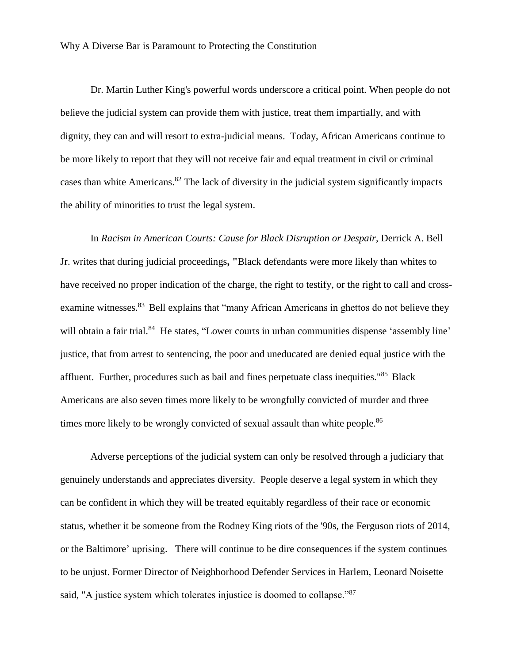Dr. Martin Luther King's powerful words underscore a critical point. When people do not believe the judicial system can provide them with justice, treat them impartially, and with dignity, they can and will resort to extra-judicial means. Today, African Americans continue to be more likely to report that they will not receive fair and equal treatment in civil or criminal cases than white Americans. $82$  The lack of diversity in the judicial system significantly impacts the ability of minorities to trust the legal system.

In *Racism in American Courts: Cause for Black Disruption or Despair*, Derrick A. Bell Jr. writes that during judicial proceedings**, "**Black defendants were more likely than whites to have received no proper indication of the charge, the right to testify, or the right to call and crossexamine witnesses.<sup>83</sup> Bell explains that "many African Americans in ghettos do not believe they will obtain a fair trial.<sup>84</sup> He states, "Lower courts in urban communities dispense 'assembly line' justice, that from arrest to sentencing, the poor and uneducated are denied equal justice with the affluent. Further, procedures such as bail and fines perpetuate class inequities."<sup>85</sup> Black Americans are also seven times more likely to be wrongfully convicted of murder and three times more likely to be wrongly convicted of sexual assault than white people.<sup>86</sup>

Adverse perceptions of the judicial system can only be resolved through a judiciary that genuinely understands and appreciates diversity. People deserve a legal system in which they can be confident in which they will be treated equitably regardless of their race or economic status, whether it be someone from the Rodney King riots of the '90s, the Ferguson riots of 2014, or the Baltimore' uprising. There will continue to be dire consequences if the system continues to be unjust. Former Director of Neighborhood Defender Services in Harlem, Leonard Noisette said, "A justice system which tolerates injustice is doomed to collapse."<sup>87</sup>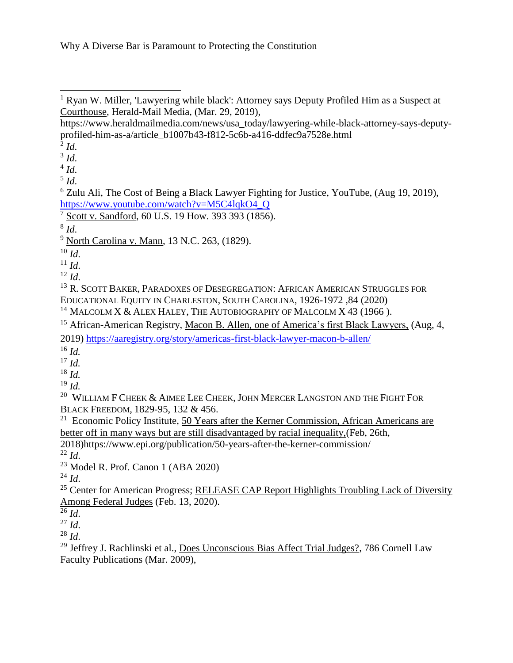https://www.heraldmailmedia.com/news/usa\_today/lawyering-while-black-attorney-says-deputyprofiled-him-as-a/article\_b1007b43-f812-5c6b-a416-ddfec9a7528e.html

3 *Id*.

4 *Id*.

5 *Id*.

<sup>6</sup> Zulu Ali, The Cost of Being a Black Lawyer Fighting for Justice, YouTube, (Aug 19, 2019), [https://www.youtube.com/watch?v=M5C4lqkO4\\_Q](https://www.youtube.com/watch?v=M5C4lqkO4_Q)

<sup>7</sup> Scott v. Sandford, 60 U.S. 19 How. 393 393 (1856).

8 *Id*.

 $10$  *Id.* 

 $11$  *Id.* 

 $12$  *Id.* 

<sup>13</sup> R. SCOTT BAKER, PARADOXES OF DESEGREGATION: AFRICAN AMERICAN STRUGGLES FOR EDUCATIONAL EQUITY IN CHARLESTON, SOUTH CAROLINA, 1926-1972 ,84 (2020)

<sup>14</sup> MALCOLM X & ALEX HALEY, THE AUTOBIOGRAPHY OF MALCOLM X 43 (1966).

<sup>15</sup> African-American Registry, Macon B. Allen, one of America's first Black Lawyers, (Aug, 4,

2019)<https://aaregistry.org/story/americas-first-black-lawyer-macon-b-allen/>

<sup>16</sup> *Id.*

<sup>17</sup> *Id.*

<sup>18</sup> *Id.*

<sup>19</sup> *Id.*

 $20$  WILLIAM F CHEEK  $\&$  AIMEE LEE CHEEK, JOHN MERCER LANGSTON AND THE FIGHT FOR BLACK FREEDOM, 1829-95, 132 & 456.

 $21$  Economic Policy Institute, 50 Years after the Kerner Commission, African Americans are better off in many ways but are still disadvantaged by racial inequality,(Feb, 26th,

2018)https://www.epi.org/publication/50-years-after-the-kerner-commission/ <sup>22</sup> *Id*.

<sup>23</sup> Model R. Prof. Canon 1 (ABA 2020)

 $^{24}$  *Id.* 

<sup>25</sup> Center for American Progress; RELEASE CAP Report Highlights Troubling Lack of Diversity Among Federal Judges (Feb. 13, 2020).

 $^{27}$  *Id.* 

 $^{28}$  *Id.* 

<sup>29</sup> Jeffrey J. Rachlinski et al., Does Unconscious Bias Affect Trial Judges?, 786 Cornell Law Faculty Publications (Mar. 2009),

<sup>&</sup>lt;sup>1</sup> Ryan W. Miller, *'Lawyering while black': Attorney says Deputy Profiled Him as a Suspect at* Courthouse, Herald-Mail Media, (Mar. 29, 2019), 

<sup>2</sup> *Id*.

<sup>9</sup> North Carolina v. Mann, 13 N.C. 263, (1829).

 $\overline{\frac{26}{}}$ *Id.*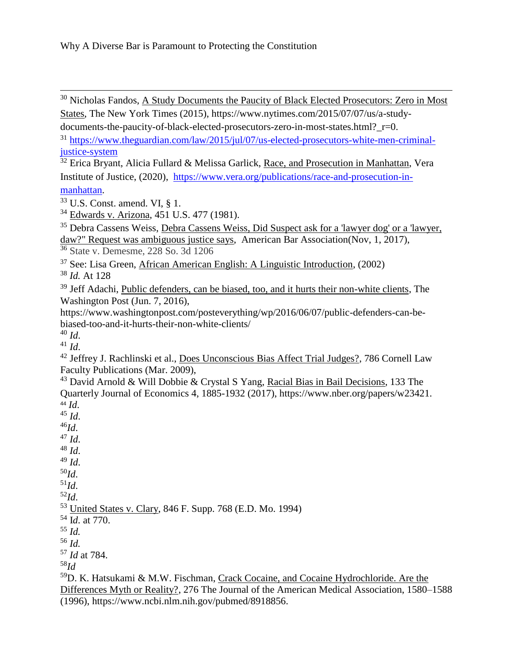<sup>30</sup> Nicholas Fandos, A Study Documents the Paucity of Black Elected Prosecutors: Zero in Most States, The New York Times (2015), https://www.nytimes.com/2015/07/07/us/a-study-

documents-the-paucity-of-black-elected-prosecutors-zero-in-most-states.html? r=0.

<sup>31</sup> [https://www.theguardian.com/law/2015/jul/07/us-elected-prosecutors-white-men-criminal](https://www.theguardian.com/law/2015/jul/07/us-elected-prosecutors-white-men-criminal-justice-system)[justice-system](https://www.theguardian.com/law/2015/jul/07/us-elected-prosecutors-white-men-criminal-justice-system)

 $\overline{32}$  Erica Bryant, Alicia Fullard & Melissa Garlick, Race, and Prosecution in Manhattan, Vera Institute of Justice, (2020), [https://www.vera.org/publications/race-and-prosecution-in](https://www.vera.org/publications/race-and-prosecution-in-manhattan)[manhattan.](https://www.vera.org/publications/race-and-prosecution-in-manhattan)

 $33$  U.S. Const. amend. VI, § 1.

<sup>34</sup> Edwards v. Arizona, 451 U.S. 477 (1981).

<sup>35</sup> Debra Cassens Weiss, Debra Cassens Weiss, Did Suspect ask for a 'lawyer dog' or a 'lawyer, daw?" Request was ambiguous justice says, American Bar Association(Nov, 1, 2017), <sup>36</sup> State v. Demesme, 228 So. 3d 1206

 $37$  See: Lisa Green, African American English: A Linguistic Introduction, (2002)

<sup>38</sup> *Id.* At 128

<sup>39</sup> Jeff Adachi, Public defenders, can be biased, too, and it hurts their non-white clients, The Washington Post (Jun. 7, 2016),

https://www.washingtonpost.com/posteverything/wp/2016/06/07/public-defenders-can-bebiased-too-and-it-hurts-their-non-white-clients/

<sup>40</sup> *Id*.  $^{41}$  *Id.* 

<sup>42</sup> Jeffrey J. Rachlinski et al., Does Unconscious Bias Affect Trial Judges?, 786 Cornell Law

Faculty Publications (Mar. 2009),

 $43$  David Arnold & Will Dobbie & Crystal S Yang, Racial Bias in Bail Decisions, 133 The Quarterly Journal of Economics 4, 1885-1932 (2017), https://www.nber.org/papers/w23421. <sup>44</sup> *Id*.

<sup>45</sup> *Id*. <sup>46</sup>*Id*. <sup>47</sup> *Id*. <sup>48</sup> *Id*. <sup>49</sup> *Id*. <sup>50</sup>*Id*.  $^{51}Id.$ <sup>52</sup>*Id*. <sup>53</sup> United States v. Clary, 846 F. Supp. 768 (E.D. Mo. 1994) <sup>54</sup> I*d*. at 770. <sup>55</sup> *Id.* <sup>56</sup> *Id.* <sup>57</sup> *Id* at 784. <sup>58</sup>*Id*

<sup>59</sup>D. K. Hatsukami & M.W. Fischman, Crack Cocaine, and Cocaine Hydrochloride. Are the Differences Myth or Reality?, 276 The Journal of the American Medical Association, 1580–1588 (1996), https://www.ncbi.nlm.nih.gov/pubmed/8918856.